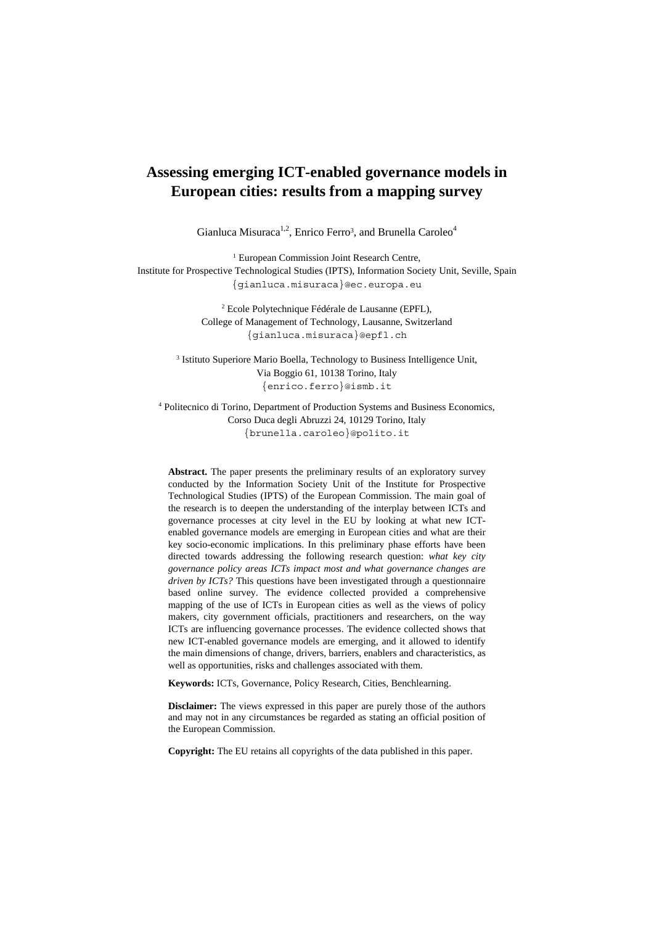# **Assessing emerging ICT-enabled governance models in European cities: results from a mapping survey**

Gianluca Misuraca<sup>1,2</sup>, Enrico Ferro<sup>3</sup>, and Brunella Caroleo<sup>4</sup>

<sup>1</sup> European Commission Joint Research Centre, Institute for Prospective Technological Studies (IPTS), Information Society Unit, Seville, Spain {gianluca.misuraca}@ec.europa.eu

> 2 Ecole Polytechnique Fédérale de Lausanne (EPFL), College of Management of Technology, Lausanne, Switzerland {gianluca.misuraca}@epfl.ch

<sup>3</sup> Istituto Superiore Mario Boella, Technology to Business Intelligence Unit, Via Boggio 61, 10138 Torino, Italy {enrico.ferro}@ismb.it

4 Politecnico di Torino, Department of Production Systems and Business Economics, Corso Duca degli Abruzzi 24, 10129 Torino, Italy {brunella.caroleo}@polito.it

**Abstract.** The paper presents the preliminary results of an exploratory survey conducted by the Information Society Unit of the Institute for Prospective Technological Studies (IPTS) of the European Commission. The main goal of the research is to deepen the understanding of the interplay between ICTs and governance processes at city level in the EU by looking at what new ICTenabled governance models are emerging in European cities and what are their key socio-economic implications. In this preliminary phase efforts have been directed towards addressing the following research question: *what key city governance policy areas ICTs impact most and what governance changes are driven by ICTs?* This questions have been investigated through a questionnaire based online survey. The evidence collected provided a comprehensive mapping of the use of ICTs in European cities as well as the views of policy makers, city government officials, practitioners and researchers, on the way ICTs are influencing governance processes. The evidence collected shows that new ICT-enabled governance models are emerging, and it allowed to identify the main dimensions of change, drivers, barriers, enablers and characteristics, as well as opportunities, risks and challenges associated with them.

**Keywords:** ICTs, Governance, Policy Research, Cities, Benchlearning.

**Disclaimer:** The views expressed in this paper are purely those of the authors and may not in any circumstances be regarded as stating an official position of the European Commission.

**Copyright:** The EU retains all copyrights of the data published in this paper.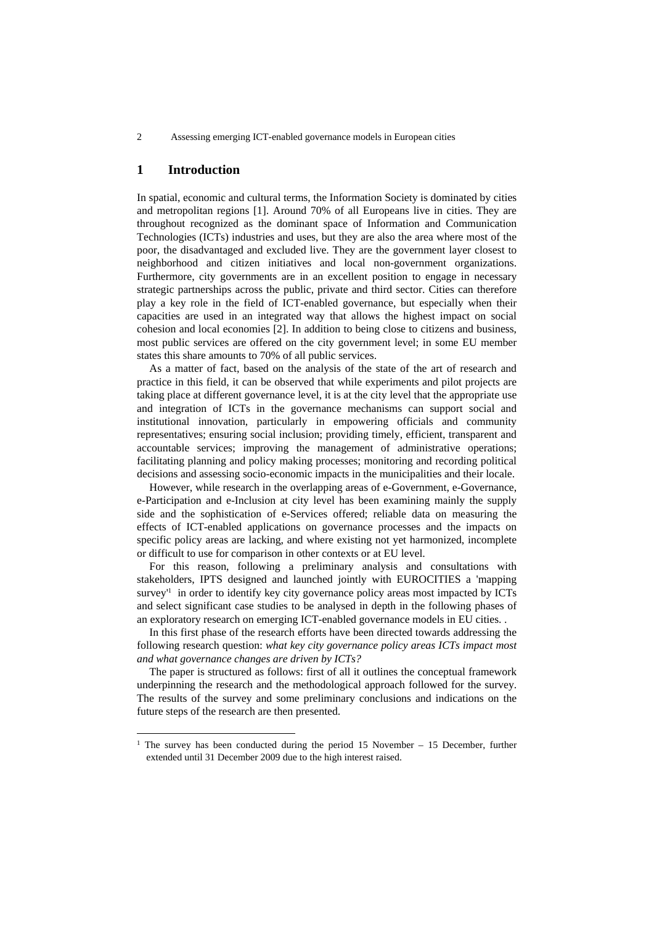## **1 Introduction**

l

In spatial, economic and cultural terms, the Information Society is dominated by cities and metropolitan regions [1]. Around 70% of all Europeans live in cities. They are throughout recognized as the dominant space of Information and Communication Technologies (ICTs) industries and uses, but they are also the area where most of the poor, the disadvantaged and excluded live. They are the government layer closest to neighborhood and citizen initiatives and local non-government organizations. Furthermore, city governments are in an excellent position to engage in necessary strategic partnerships across the public, private and third sector. Cities can therefore play a key role in the field of ICT-enabled governance, but especially when their capacities are used in an integrated way that allows the highest impact on social cohesion and local economies [2]. In addition to being close to citizens and business, most public services are offered on the city government level; in some EU member states this share amounts to 70% of all public services.

As a matter of fact, based on the analysis of the state of the art of research and practice in this field, it can be observed that while experiments and pilot projects are taking place at different governance level, it is at the city level that the appropriate use and integration of ICTs in the governance mechanisms can support social and institutional innovation, particularly in empowering officials and community representatives; ensuring social inclusion; providing timely, efficient, transparent and accountable services; improving the management of administrative operations; facilitating planning and policy making processes; monitoring and recording political decisions and assessing socio-economic impacts in the municipalities and their locale.

However, while research in the overlapping areas of e-Government, e-Governance, e-Participation and e-Inclusion at city level has been examining mainly the supply side and the sophistication of e-Services offered; reliable data on measuring the effects of ICT-enabled applications on governance processes and the impacts on specific policy areas are lacking, and where existing not yet harmonized, incomplete or difficult to use for comparison in other contexts or at EU level.

For this reason, following a preliminary analysis and consultations with stakeholders, IPTS designed and launched jointly with EUROCITIES a 'mapping survey<sup>11</sup> in order to identify key city governance policy areas most impacted by ICTs and select significant case studies to be analysed in depth in the following phases of an exploratory research on emerging ICT-enabled governance models in EU cities. .

In this first phase of the research efforts have been directed towards addressing the following research question: *what key city governance policy areas ICTs impact most and what governance changes are driven by ICTs?* 

The paper is structured as follows: first of all it outlines the conceptual framework underpinning the research and the methodological approach followed for the survey. The results of the survey and some preliminary conclusions and indications on the future steps of the research are then presented.

<sup>&</sup>lt;sup>1</sup> The survey has been conducted during the period 15 November - 15 December, further extended until 31 December 2009 due to the high interest raised.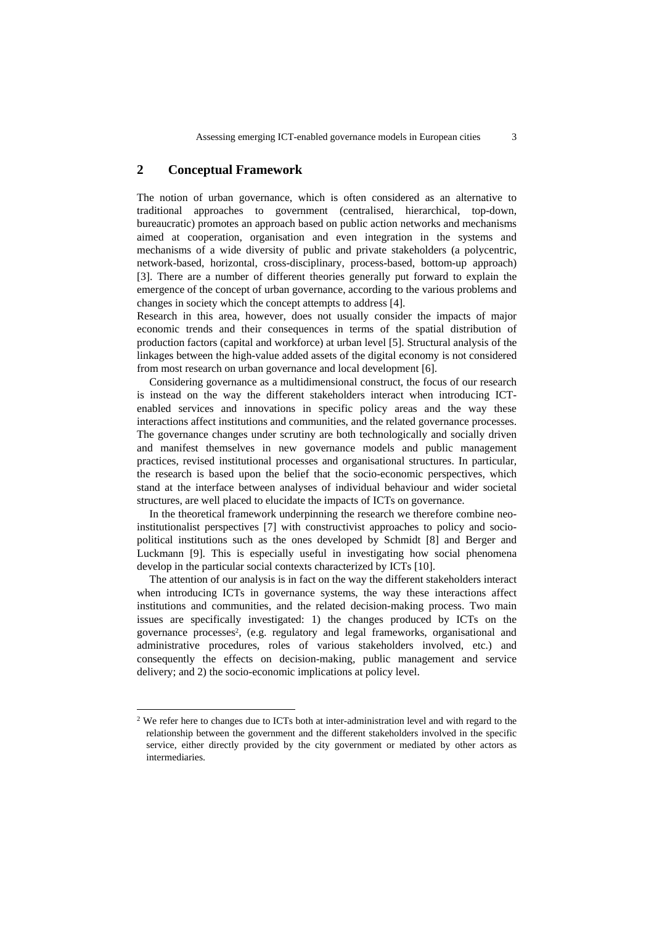Assessing emerging ICT-enabled governance models in European cities 3

## **2 Conceptual Framework**

l

The notion of urban governance, which is often considered as an alternative to traditional approaches to government (centralised, hierarchical, top-down, bureaucratic) promotes an approach based on public action networks and mechanisms aimed at cooperation, organisation and even integration in the systems and mechanisms of a wide diversity of public and private stakeholders (a polycentric, network-based, horizontal, cross-disciplinary, process-based, bottom-up approach) [3]. There are a number of different theories generally put forward to explain the emergence of the concept of urban governance, according to the various problems and changes in society which the concept attempts to address [4].

Research in this area, however, does not usually consider the impacts of major economic trends and their consequences in terms of the spatial distribution of production factors (capital and workforce) at urban level [5]. Structural analysis of the linkages between the high-value added assets of the digital economy is not considered from most research on urban governance and local development [6].

Considering governance as a multidimensional construct, the focus of our research is instead on the way the different stakeholders interact when introducing ICTenabled services and innovations in specific policy areas and the way these interactions affect institutions and communities, and the related governance processes. The governance changes under scrutiny are both technologically and socially driven and manifest themselves in new governance models and public management practices, revised institutional processes and organisational structures. In particular, the research is based upon the belief that the socio-economic perspectives, which stand at the interface between analyses of individual behaviour and wider societal structures, are well placed to elucidate the impacts of ICTs on governance.

In the theoretical framework underpinning the research we therefore combine neoinstitutionalist perspectives [7] with constructivist approaches to policy and sociopolitical institutions such as the ones developed by Schmidt [8] and Berger and Luckmann [9]. This is especially useful in investigating how social phenomena develop in the particular social contexts characterized by ICTs [10].

The attention of our analysis is in fact on the way the different stakeholders interact when introducing ICTs in governance systems, the way these interactions affect institutions and communities, and the related decision-making process. Two main issues are specifically investigated: 1) the changes produced by ICTs on the governance processes2, (e.g. regulatory and legal frameworks, organisational and administrative procedures, roles of various stakeholders involved, etc.) and consequently the effects on decision-making, public management and service delivery; and 2) the socio-economic implications at policy level.

<sup>&</sup>lt;sup>2</sup> We refer here to changes due to ICTs both at inter-administration level and with regard to the relationship between the government and the different stakeholders involved in the specific service, either directly provided by the city government or mediated by other actors as intermediaries.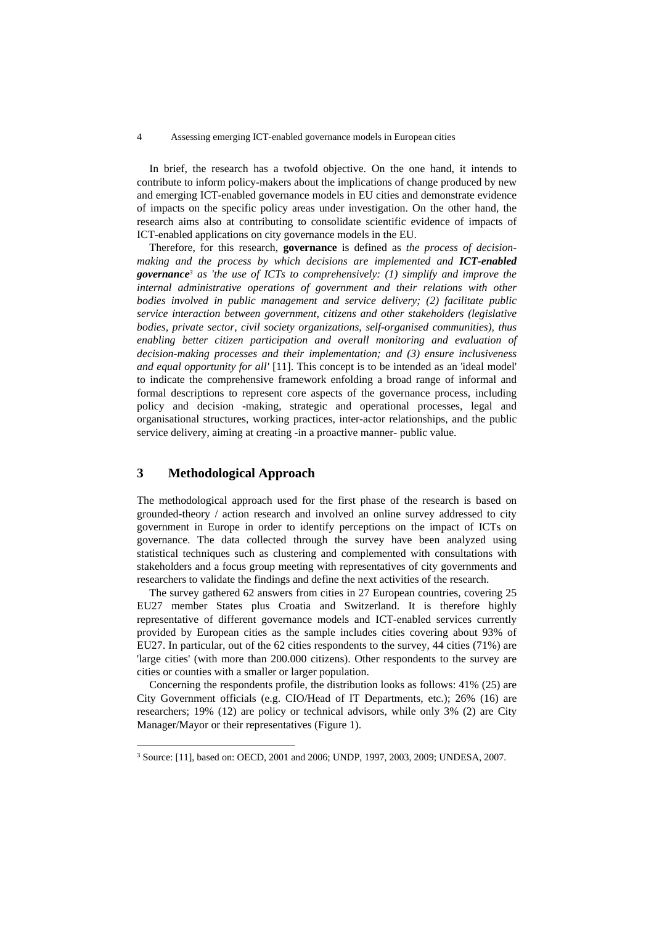In brief, the research has a twofold objective. On the one hand, it intends to contribute to inform policy-makers about the implications of change produced by new and emerging ICT-enabled governance models in EU cities and demonstrate evidence of impacts on the specific policy areas under investigation. On the other hand, the research aims also at contributing to consolidate scientific evidence of impacts of ICT-enabled applications on city governance models in the EU.

Therefore, for this research, **governance** is defined as *the process of decisionmaking and the process by which decisions are implemented and ICT-enabled governance<sup>3</sup> as 'the use of ICTs to comprehensively: (1) simplify and improve the internal administrative operations of government and their relations with other bodies involved in public management and service delivery; (2) facilitate public service interaction between government, citizens and other stakeholders (legislative bodies, private sector, civil society organizations, self-organised communities), thus*  enabling better citizen participation and overall monitoring and evaluation of *decision-making processes and their implementation; and (3) ensure inclusiveness and equal opportunity for all'* [11]. This concept is to be intended as an 'ideal model' to indicate the comprehensive framework enfolding a broad range of informal and formal descriptions to represent core aspects of the governance process, including policy and decision -making, strategic and operational processes, legal and organisational structures, working practices, inter-actor relationships, and the public service delivery, aiming at creating -in a proactive manner- public value.

## **3 Methodological Approach**

l

The methodological approach used for the first phase of the research is based on grounded-theory / action research and involved an online survey addressed to city government in Europe in order to identify perceptions on the impact of ICTs on governance. The data collected through the survey have been analyzed using statistical techniques such as clustering and complemented with consultations with stakeholders and a focus group meeting with representatives of city governments and researchers to validate the findings and define the next activities of the research.

The survey gathered 62 answers from cities in 27 European countries, covering 25 EU27 member States plus Croatia and Switzerland. It is therefore highly representative of different governance models and ICT-enabled services currently provided by European cities as the sample includes cities covering about 93% of EU27. In particular, out of the 62 cities respondents to the survey, 44 cities (71%) are 'large cities' (with more than 200.000 citizens). Other respondents to the survey are cities or counties with a smaller or larger population.

Concerning the respondents profile, the distribution looks as follows: 41% (25) are City Government officials (e.g. CIO/Head of IT Departments, etc.); 26% (16) are researchers; 19% (12) are policy or technical advisors, while only 3% (2) are City Manager/Mayor or their representatives (Figure 1).

<sup>3</sup> Source: [11], based on: OECD, 2001 and 2006; UNDP, 1997, 2003, 2009; UNDESA, 2007.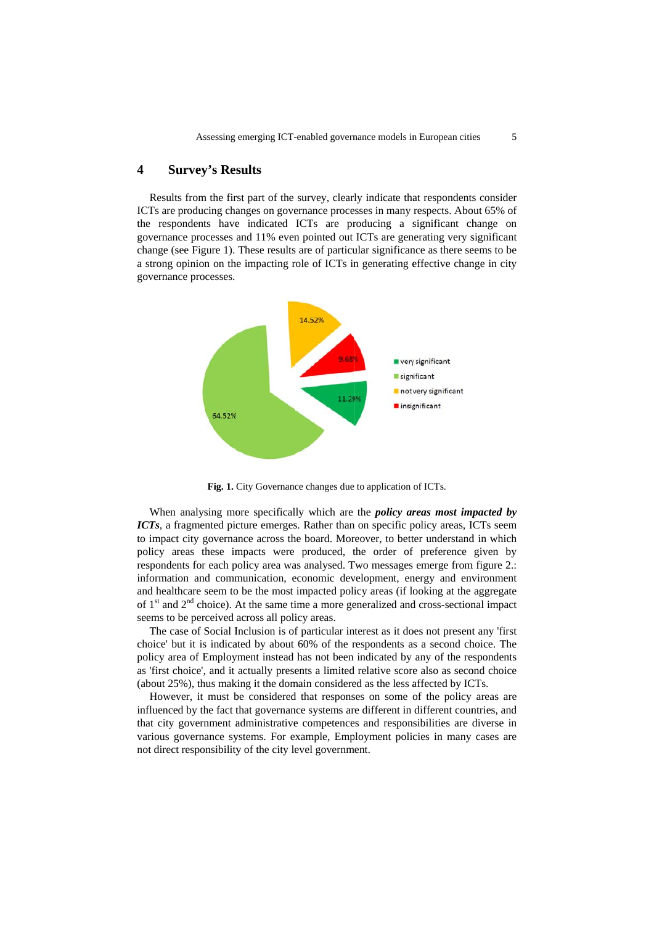#### $\overline{\mathbf{4}}$ **Survey's Results**

Results from the first part of the survey, clearly indicate that respondents consider ICTs are producing changes on governance processes in many respects. About 65% of the respondents have indicated ICTs are producing a significant change on governance processes and 11% even pointed out ICTs are generating very significant change (see Figure 1). These results are of particular significance as there seems to be a strong opinion on the impacting role of ICTs in generating effective change in city governance processes.



Fig. 1. City Governance changes due to application of ICTs.

When analysing more specifically which are the **policy** areas most impacted by ICTs, a fragmented picture emerges. Rather than on specific policy areas, ICTs seem to impact city governance across the board. Moreover, to better understand in which policy areas these impacts were produced, the order of preference given by respondents for each policy area was analysed. Two messages emerge from figure 2.: information and communication, economic development, energy and environment and healthcare seem to be the most impacted policy areas (if looking at the aggregate of  $1<sup>st</sup>$  and  $2<sup>nd</sup>$  choice). At the same time a more generalized and cross-sectional impact seems to be perceived across all policy areas.

The case of Social Inclusion is of particular interest as it does not present any 'first choice' but it is indicated by about 60% of the respondents as a second choice. The policy area of Employment instead has not been indicated by any of the respondents as 'first choice', and it actually presents a limited relative score also as second choice (about 25%), thus making it the domain considered as the less affected by ICTs.

However, it must be considered that responses on some of the policy areas are influenced by the fact that governance systems are different in different countries, and that city government administrative competences and responsibilities are diverse in various governance systems. For example, Employment policies in many cases are not direct responsibility of the city level government.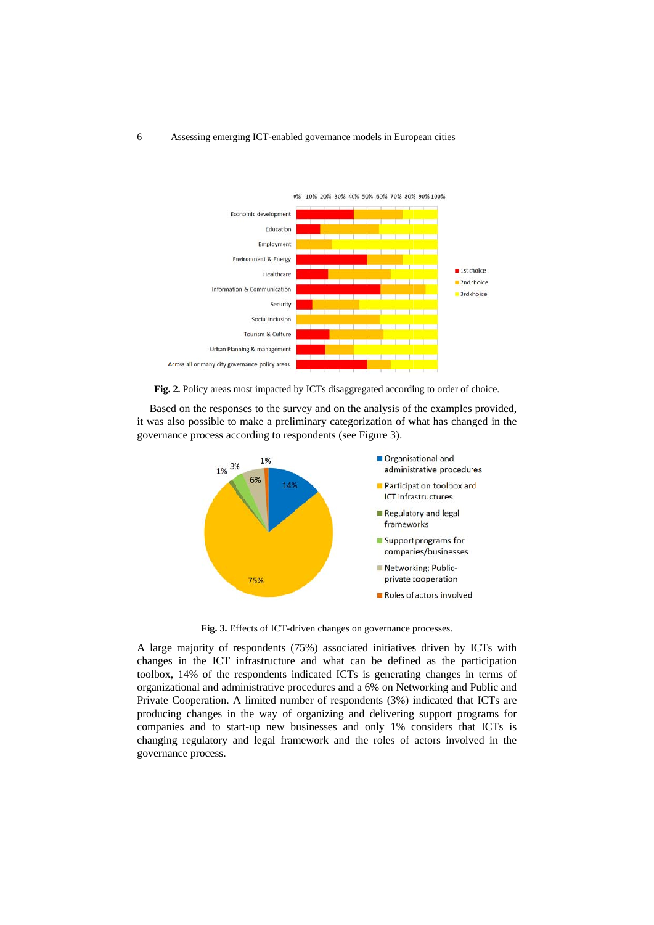#### $\sqrt{6}$ Assessing emerging ICT-enabled governance models in European cities



Fig. 2. Policy areas most impacted by ICTs disaggregated according to order of choice.

Based on the responses to the survey and on the analysis of the examples provided, it was also possible to make a preliminary categorization of what has changed in the governance process according to respondents (see Figure 3).



Fig. 3. Effects of ICT-driven changes on governance processes.

A large majority of respondents (75%) associated initiatives driven by ICTs with changes in the ICT infrastructure and what can be defined as the participation toolbox, 14% of the respondents indicated ICTs is generating changes in terms of organizational and administrative procedures and a 6% on Networking and Public and Private Cooperation. A limited number of respondents (3%) indicated that ICTs are producing changes in the way of organizing and delivering support programs for companies and to start-up new businesses and only 1% considers that ICTs is changing regulatory and legal framework and the roles of actors involved in the governance process.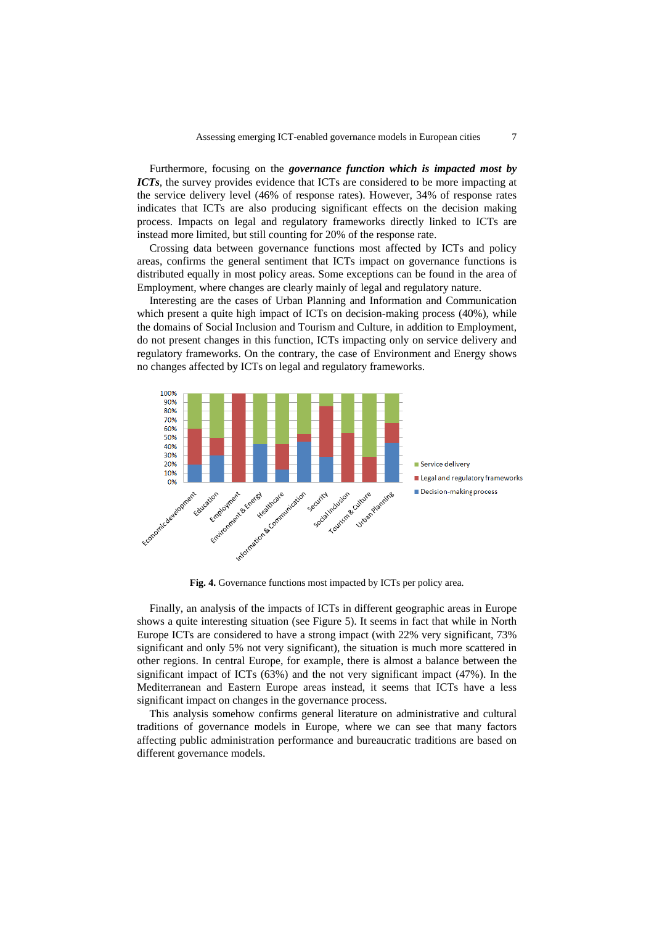Furthermore, focusing on the governance function which is impacted most by ICTs, the survey provides evidence that ICTs are considered to be more impacting at the service delivery level (46% of response rates). However, 34% of response rates indicates that ICTs are also producing significant effects on the decision making process. Impacts on legal and regulatory frameworks directly linked to ICTs are instead more limited, but still counting for 20% of the response rate.

Crossing data between governance functions most affected by ICTs and policy areas, confirms the general sentiment that ICTs impact on governance functions is distributed equally in most policy areas. Some exceptions can be found in the area of Employment, where changes are clearly mainly of legal and regulatory nature.

Interesting are the cases of Urban Planning and Information and Communication which present a quite high impact of ICTs on decision-making process (40%), while the domains of Social Inclusion and Tourism and Culture, in addition to Employment, do not present changes in this function, ICTs impacting only on service delivery and regulatory frameworks. On the contrary, the case of Environment and Energy shows no changes affected by ICTs on legal and regulatory frameworks.



Fig. 4. Governance functions most impacted by ICTs per policy area.

Finally, an analysis of the impacts of ICTs in different geographic areas in Europe shows a quite interesting situation (see Figure 5). It seems in fact that while in North Europe ICTs are considered to have a strong impact (with 22% very significant, 73% significant and only 5% not very significant), the situation is much more scattered in other regions. In central Europe, for example, there is almost a balance between the significant impact of ICTs  $(63%)$  and the not very significant impact  $(47%)$ . In the Mediterranean and Eastern Europe areas instead, it seems that ICTs have a less significant impact on changes in the governance process.

This analysis somehow confirms general literature on administrative and cultural traditions of governance models in Europe, where we can see that many factors affecting public administration performance and bureaucratic traditions are based on different governance models.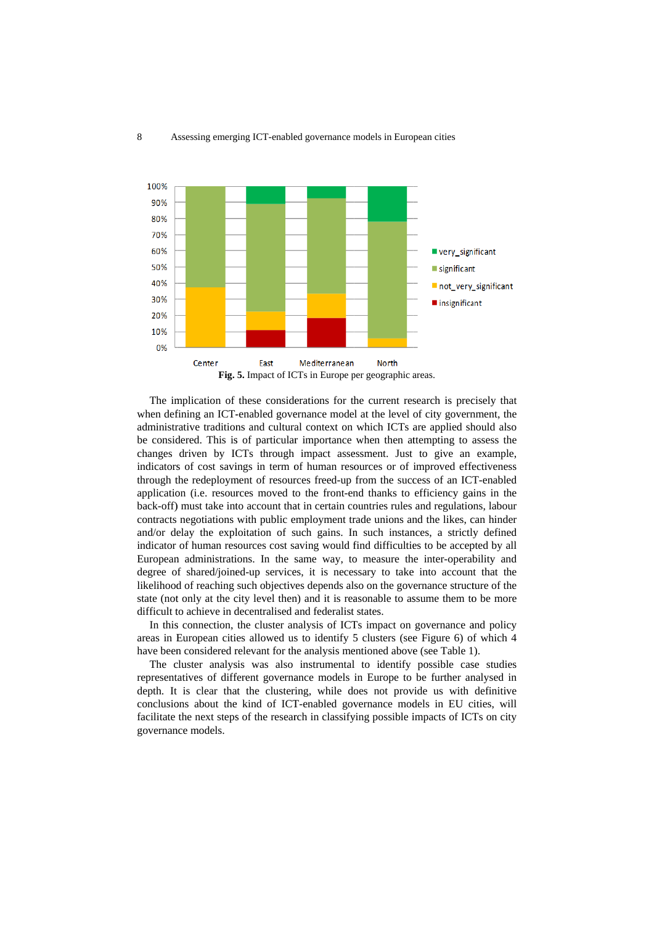

Fig. 5. Impact of ICTs in Europe per geographic areas.

The implication of these considerations for the current research is precisely that when defining an ICT-enabled governance model at the level of city government, the administrative traditions and cultural context on which ICTs are applied should also be considered. This is of particular importance when then attempting to assess the changes driven by ICTs through impact assessment. Just to give an example, indicators of cost savings in term of human resources or of improved effectiveness through the redeployment of resources freed-up from the success of an ICT-enabled application (*i.e.* resources moved to the front-end thanks to efficiency gains in the back-off) must take into account that in certain countries rules and regulations, labour contracts negotiations with public employment trade unions and the likes, can hinder and/or delay the exploitation of such gains. In such instances, a strictly defined indicator of human resources cost saving would find difficulties to be accepted by all European administrations. In the same way, to measure the inter-operability and degree of shared/joined-up services, it is necessary to take into account that the likelihood of reaching such objectives depends also on the governance structure of the state (not only at the city level then) and it is reasonable to assume them to be more difficult to achieve in decentralised and federalist states.

In this connection, the cluster analysis of ICTs impact on governance and policy areas in European cities allowed us to identify 5 clusters (see Figure 6) of which 4 have been considered relevant for the analysis mentioned above (see Table 1).

The cluster analysis was also instrumental to identify possible case studies representatives of different governance models in Europe to be further analysed in depth. It is clear that the clustering, while does not provide us with definitive conclusions about the kind of ICT-enabled governance models in EU cities, will facilitate the next steps of the research in classifying possible impacts of ICTs on city governance models.

 $8\,$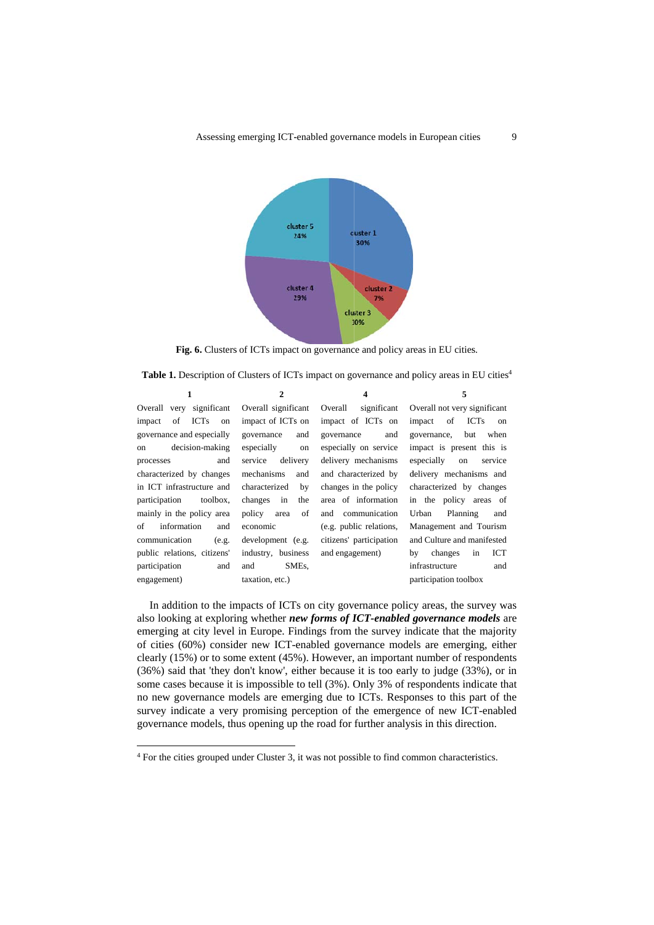

Fig. 6. Clusters of ICTs impact on governance and policy areas in EU cities.

Table 1. Description of Clusters of ICTs impact on governance and policy areas in EU cities<sup>4</sup>

| 1                                 | $\mathbf{2}$              | $\overline{\mathbf{4}}$ | 5                                 |
|-----------------------------------|---------------------------|-------------------------|-----------------------------------|
| significant<br>Overall<br>very    | Overall significant       | significant<br>Overall  | Overall not very significant      |
| <b>ICTs</b><br>of<br>impact<br>on | impact of ICTs on         | impact of ICTs on       | <b>ICTs</b><br>of<br>impact<br>on |
| governance and especially         | and<br>governance         | and<br>governance       | but<br>when<br>governance,        |
| decision-making<br><sub>on</sub>  | especially<br>on          | especially on service   | impact is present this is         |
| and<br>processes                  | service<br>delivery       | delivery mechanisms     | especially<br>service<br>on       |
| characterized by changes          | mechanisms<br>and         | and characterized by    | delivery mechanisms and           |
| in ICT infrastructure and         | characterized<br>by       | changes in the policy   | characterized by changes          |
| participation<br>toolbox.         | changes<br>the<br>in      | area of information     | in the policy areas of            |
| mainly in the policy area         | of<br>policy<br>area      | communication<br>and    | Urban<br>Planning<br>and          |
| information<br>of<br>and          | economic                  | (e.g. public relations, | Management and Tourism            |
| communication<br>(e.g.            | development (e.g.         | citizens' participation | and Culture and manifested        |
| public relations, citizens'       | industry, business        | and engagement)         | ICT<br>in<br>by<br>changes        |
| participation<br>and              | SME <sub>s</sub> .<br>and |                         | infrastructure<br>and             |
| engagement)                       | taxation, etc.)           |                         | participation toolbox             |

In addition to the impacts of ICTs on city governance policy areas, the survey was also looking at exploring whether new forms of ICT-enabled governance models are emerging at city level in Europe. Findings from the survey indicate that the majority of cities (60%) consider new ICT-enabled governance models are emerging, either clearly (15%) or to some extent (45%). However, an important number of respondents (36%) said that 'they don't know', either because it is too early to judge (33%), or in some cases because it is impossible to tell (3%). Only 3% of respondents indicate that no new governance models are emerging due to ICTs. Responses to this part of the survey indicate a very promising perception of the emergence of new ICT-enabled governance models, thus opening up the road for further analysis in this direction.

<sup>&</sup>lt;sup>4</sup> For the cities grouped under Cluster 3, it was not possible to find common characteristics.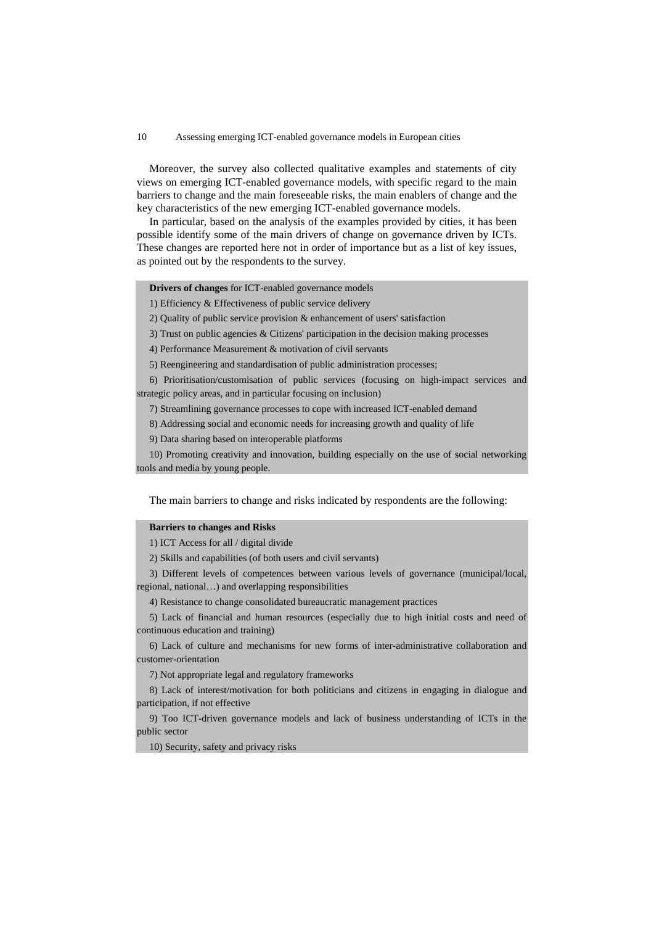### 10 Assessing emerging ICT-enabled governance models in European cities

Moreover, the survey also collected qualitative examples and statements of city views on emerging ICT-enabled governance models, with specific regard to the main barriers to change and the main foreseeable risks, the main enablers of change and the key characteristics of the new emerging ICT-enabled governance models.

In particular, based on the analysis of the examples provided by cities, it has been possible identify some of the main drivers of change on governance driven by ICTs. These changes are reported here not in order of importance but as a list of key issues, as pointed out by the respondents to the survey.

#### **Drivers of changes** for ICT-enabled governance models

1) Efficiency & Effectiveness of public service delivery

2) Quality of public service provision & enhancement of users' satisfaction

3) Trust on public agencies & Citizens' participation in the decision making processes

4) Performance Measurement & motivation of civil servants

5) Reengineering and standardisation of public administration processes;

6) Prioritisation/customisation of public services (focusing on high-impact services and strategic policy areas, and in particular focusing on inclusion)

7) Streamlining governance processes to cope with increased ICT-enabled demand

8) Addressing social and economic needs for increasing growth and quality of life

9) Data sharing based on interoperable platforms

10) Promoting creativity and innovation, building especially on the use of social networking tools and media by young people.

The main barriers to change and risks indicated by respondents are the following:

#### **Barriers to changes and Risks**

1) ICT Access for all / digital divide

2) Skills and capabilities (of both users and civil servants)

3) Different levels of competences between various levels of governance (municipal/local, regional, national…) and overlapping responsibilities

4) Resistance to change consolidated bureaucratic management practices

5) Lack of financial and human resources (especially due to high initial costs and need of continuous education and training)

6) Lack of culture and mechanisms for new forms of inter-administrative collaboration and customer-orientation

7) Not appropriate legal and regulatory frameworks

8) Lack of interest/motivation for both politicians and citizens in engaging in dialogue and participation, if not effective

9) Too ICT-driven governance models and lack of business understanding of ICTs in the public sector

10) Security, safety and privacy risks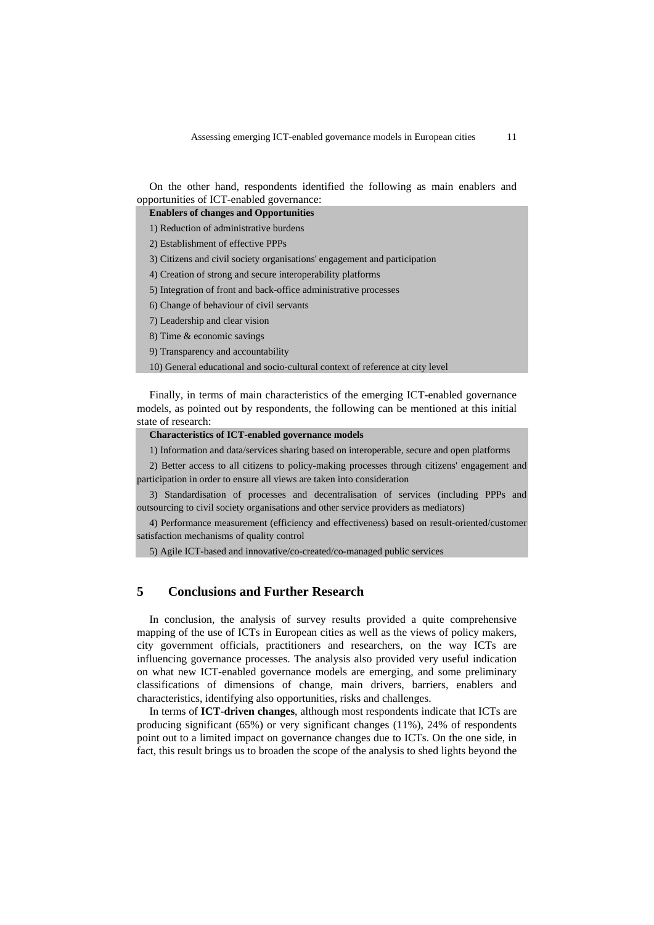On the other hand, respondents identified the following as main enablers and opportunities of ICT-enabled governance:

**Enablers of changes and Opportunities**

2) Establishment of effective PPPs

3) Citizens and civil society organisations' engagement and participation

4) Creation of strong and secure interoperability platforms

5) Integration of front and back-office administrative processes

6) Change of behaviour of civil servants

7) Leadership and clear vision

8) Time & economic savings

9) Transparency and accountability

10) General educational and socio-cultural context of reference at city level

Finally, in terms of main characteristics of the emerging ICT-enabled governance models, as pointed out by respondents, the following can be mentioned at this initial state of research:

### **Characteristics of ICT-enabled governance models**

1) Information and data/services sharing based on interoperable, secure and open platforms

2) Better access to all citizens to policy-making processes through citizens' engagement and participation in order to ensure all views are taken into consideration

3) Standardisation of processes and decentralisation of services (including PPPs and outsourcing to civil society organisations and other service providers as mediators)

4) Performance measurement (efficiency and effectiveness) based on result-oriented/customer satisfaction mechanisms of quality control

5) Agile ICT-based and innovative/co-created/co-managed public services

## **5 Conclusions and Further Research**

In conclusion, the analysis of survey results provided a quite comprehensive mapping of the use of ICTs in European cities as well as the views of policy makers, city government officials, practitioners and researchers, on the way ICTs are influencing governance processes. The analysis also provided very useful indication on what new ICT-enabled governance models are emerging, and some preliminary classifications of dimensions of change, main drivers, barriers, enablers and characteristics, identifying also opportunities, risks and challenges.

In terms of **ICT-driven changes**, although most respondents indicate that ICTs are producing significant (65%) or very significant changes (11%), 24% of respondents point out to a limited impact on governance changes due to ICTs. On the one side, in fact, this result brings us to broaden the scope of the analysis to shed lights beyond the